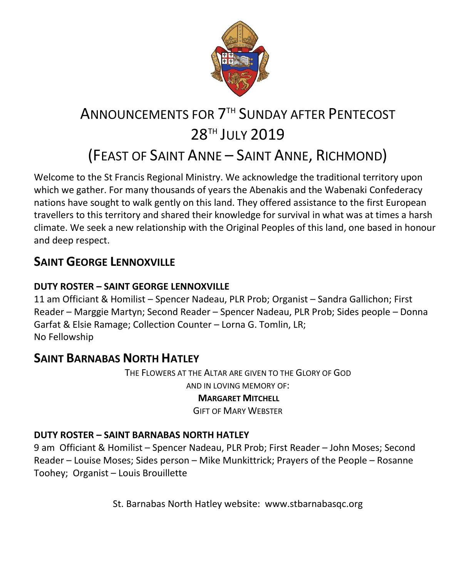

# ANNOUNCEMENTS FOR 7TH SUNDAY AFTER PENTECOST 28 TH JULY 2019 (FEAST OF SAINT ANNE – SAINT ANNE, RICHMOND)

Welcome to the St Francis Regional Ministry. We acknowledge the traditional territory upon which we gather. For many thousands of years the Abenakis and the Wabenaki Confederacy nations have sought to walk gently on this land. They offered assistance to the first European travellers to this territory and shared their knowledge for survival in what was at times a harsh climate. We seek a new relationship with the Original Peoples of this land, one based in honour and deep respect.

### **SAINT GFORGE LENNOXVILLE**

### **DUTY ROSTER – SAINT GEORGE LENNOXVILLE**

11 am Officiant & Homilist – Spencer Nadeau, PLR Prob; Organist – Sandra Gallichon; First Reader – Marggie Martyn; Second Reader – Spencer Nadeau, PLR Prob; Sides people – Donna Garfat & Elsie Ramage; Collection Counter – Lorna G. Tomlin, LR; No Fellowship

### **SAINT BARNABAS NORTH HATLEY**

THE FLOWERS AT THE ALTAR ARE GIVEN TO THE GLORY OF GOD AND IN LOVING MEMORY OF:

### **MARGARET MITCHELL**

GIFT OF MARY WEBSTER

### **DUTY ROSTER – SAINT BARNABAS NORTH HATLEY**

9 am Officiant & Homilist – Spencer Nadeau, PLR Prob; First Reader – John Moses; Second Reader – Louise Moses; Sides person – Mike Munkittrick; Prayers of the People – Rosanne Toohey; Organist – Louis Brouillette

St. Barnabas North Hatley website: [www.stbarnabasqc.org](https://webmail.ubishops.ca/owa/redir.aspx?REF=0vV84iQWktbgou41-Q7x-hpuWc0un25Lg32_cT3pE_mXa77B8czTCAFodHRwOi8vd3d3LnN0YmFybmFiYXNxYy5vcmc.)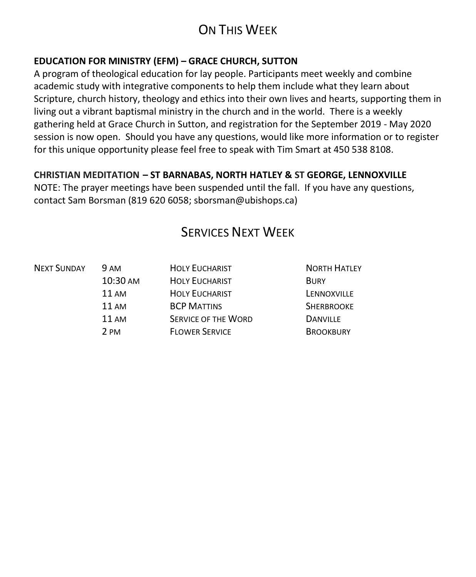## ON THIS WEEK

### **EDUCATION FOR MINISTRY (EFM) – GRACE CHURCH, SUTTON**

A program of theological education for lay people. Participants meet weekly and combine academic study with integrative components to help them include what they learn about Scripture, church history, theology and ethics into their own lives and hearts, supporting them in living out a vibrant baptismal ministry in the church and in the world. There is a weekly gathering held at Grace Church in Sutton, and registration for the September 2019 - May 2020 session is now open. Should you have any questions, would like more information or to register for this unique opportunity please feel free to speak with Tim Smart at 450 538 8108.

### **CHRISTIAN MEDITATION – ST BARNABAS, NORTH HATLEY & ST GEORGE, LENNOXVILLE**

NOTE: The prayer meetings have been suspended until the fall. If you have any questions, contact Sam Borsman (819 620 6058; sborsman@ubishops.ca)

### SERVICES NEXT WEEK

| 9 AM                             | <b>HOLY EUCHARIST</b> | <b>NORTH HATLEY</b> |
|----------------------------------|-----------------------|---------------------|
| 10:30 AM<br>11AM<br>11AM<br>11AM | <b>HOLY EUCHARIST</b> | <b>BURY</b>         |
|                                  | <b>HOLY EUCHARIST</b> | LENNOXVILLE         |
|                                  | <b>BCP MATTINS</b>    | <b>SHERBROOKE</b>   |
|                                  | SERVICE OF THE WORD   | <b>DANVILLE</b>     |
| 2 PM                             | <b>FLOWER SERVICE</b> | <b>BROOKBURY</b>    |
|                                  |                       |                     |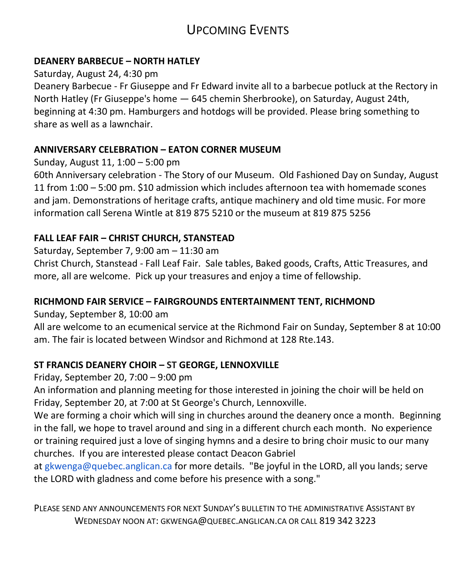### UPCOMING EVENTS

### **DEANERY BARBECUE – NORTH HATLEY**

#### Saturday, August 24, 4:30 pm

Deanery Barbecue - Fr Giuseppe and Fr Edward invite all to a barbecue potluck at the Rectory in North Hatley (Fr Giuseppe's home — 645 chemin Sherbrooke), on Saturday, August 24th, beginning at 4:30 pm. Hamburgers and hotdogs will be provided. Please bring something to share as well as a lawnchair.

### **ANNIVERSARY CELEBRATION – EATON CORNER MUSEUM**

Sunday, August 11, 1:00 – 5:00 pm

60th Anniversary celebration - The Story of our Museum. Old Fashioned Day on Sunday, August 11 from 1:00 – 5:00 pm. \$10 admission which includes afternoon tea with homemade scones and jam. Demonstrations of heritage crafts, antique machinery and old time music. For more information call Serena Wintle at 819 875 5210 or the museum at 819 875 5256

### **FALL LEAF FAIR – CHRIST CHURCH, STANSTEAD**

Saturday, September 7, 9:00 am – 11:30 am

Christ Church, Stanstead - Fall Leaf Fair. Sale tables, Baked goods, Crafts, Attic Treasures, and more, all are welcome. Pick up your treasures and enjoy a time of fellowship.

### **RICHMOND FAIR SERVICE – FAIRGROUNDS ENTERTAINMENT TENT, RICHMOND**

Sunday, September 8, 10:00 am

All are welcome to an ecumenical service at the Richmond Fair on Sunday, September 8 at 10:00 am. The fair is located between Windsor and Richmond at 128 Rte.143.

### **ST FRANCIS DEANERY CHOIR – ST GEORGE, LENNOXVILLE**

Friday, September 20, 7:00 – 9:00 pm

An information and planning meeting for those interested in joining the choir will be held on Friday, September 20, at 7:00 at St George's Church, Lennoxville.

We are forming a choir which will sing in churches around the deanery once a month. Beginning in the fall, we hope to travel around and sing in a different church each month. No experience or training required just a love of singing hymns and a desire to bring choir music to our many churches. If you are interested please contact Deacon Gabriel

at gkwenga@quebec.anglican.ca for more details. "Be joyful in the LORD, all you lands; serve the LORD with gladness and come before his presence with a song."

PLEASE SEND ANY ANNOUNCEMENTS FOR NEXT SUNDAY'S BULLETIN TO THE ADMINISTRATIVE ASSISTANT BY WEDNESDAY NOON AT: GKWENGA@QUEBEC.ANGLICAN.CA OR CALL 819 342 3223